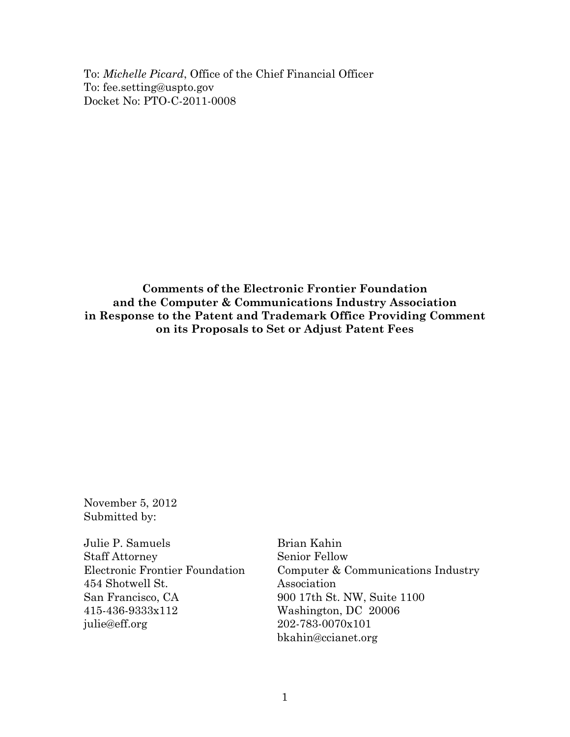To: *Michelle Picard*, Office of the Chief Financial Officer To: fee.setting@uspto.gov Docket No: PTO-C-2011-0008

**Comments of the Electronic Frontier Foundation and the Computer & Communications Industry Association in Response to the Patent and Trademark Office Providing Comment on its Proposals to Set or Adjust Patent Fees**

November 5, 2012 Submitted by:

Julie P. Samuels Staff Attorney Electronic Frontier Foundation 454 Shotwell St. San Francisco, CA 415-436-9333x112 julie@eff.org

Brian Kahin Senior Fellow Computer & Communications Industry Association 900 17th St. NW, Suite 1100 Washington, DC 20006 202-783-0070x101 bkahin@ccianet.org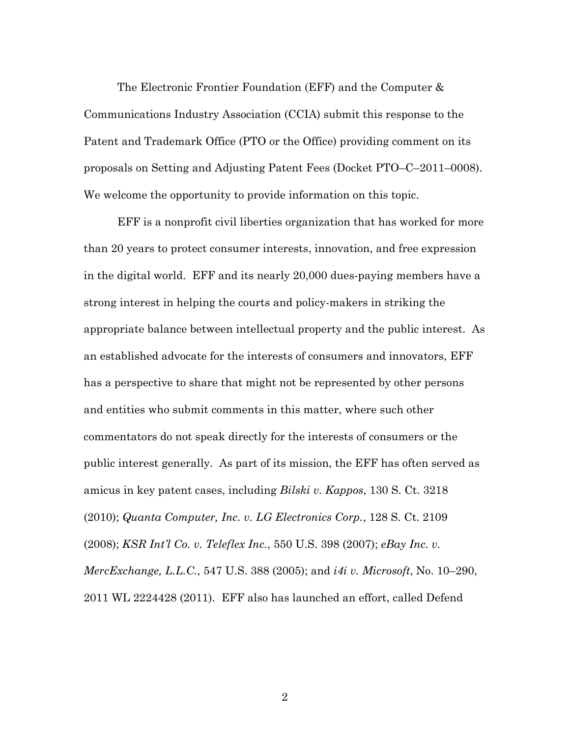The Electronic Frontier Foundation (EFF) and the Computer & Communications Industry Association (CCIA) submit this response to the Patent and Trademark Office (PTO or the Office) providing comment on its proposals on Setting and Adjusting Patent Fees (Docket PTO–C–2011–0008). We welcome the opportunity to provide information on this topic.

EFF is a nonprofit civil liberties organization that has worked for more than 20 years to protect consumer interests, innovation, and free expression in the digital world. EFF and its nearly 20,000 dues-paying members have a strong interest in helping the courts and policy-makers in striking the appropriate balance between intellectual property and the public interest. As an established advocate for the interests of consumers and innovators, EFF has a perspective to share that might not be represented by other persons and entities who submit comments in this matter, where such other commentators do not speak directly for the interests of consumers or the public interest generally. As part of its mission, the EFF has often served as amicus in key patent cases, including *Bilski v. Kappos*, 130 S. Ct. 3218 (2010); *Quanta Computer, Inc. v. LG Electronics Corp.*, 128 S. Ct. 2109 (2008); *KSR Int'l Co. v. Teleflex Inc.*, 550 U.S. 398 (2007); *eBay Inc. v. MercExchange, L.L.C.*, 547 U.S. 388 (2005); and *i4i v. Microsoft*, No. 10–290, 2011 WL 2224428 (2011). EFF also has launched an effort, called Defend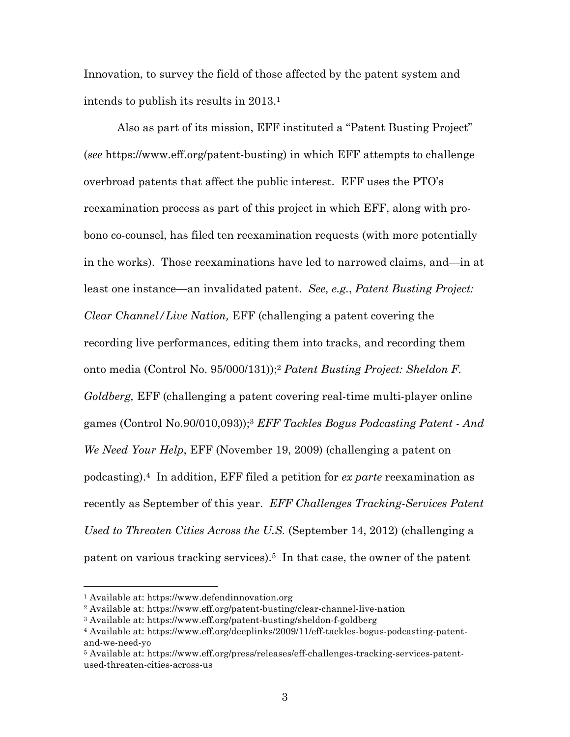Innovation, to survey the field of those affected by the patent system and intends to publish its results in 2013.1

Also as part of its mission, EFF instituted a "Patent Busting Project" (*see* https://www.eff.org/patent-busting) in which EFF attempts to challenge overbroad patents that affect the public interest. EFF uses the PTO's reexamination process as part of this project in which EFF, along with probono co-counsel, has filed ten reexamination requests (with more potentially in the works). Those reexaminations have led to narrowed claims, and—in at least one instance—an invalidated patent. *See, e.g.*, *Patent Busting Project: Clear Channel/Live Nation,* EFF (challenging a patent covering the recording live performances, editing them into tracks, and recording them onto media (Control No. 95/000/131));2 *Patent Busting Project: Sheldon F. Goldberg,* EFF (challenging a patent covering real-time multi-player online games (Control No.90/010,093));3 *EFF Tackles Bogus Podcasting Patent - And We Need Your Help*, EFF (November 19, 2009) (challenging a patent on podcasting).4 In addition, EFF filed a petition for *ex parte* reexamination as recently as September of this year. *EFF Challenges Tracking-Services Patent Used to Threaten Cities Across the U.S.* (September 14, 2012) (challenging a patent on various tracking services).5 In that case, the owner of the patent

<sup>1</sup> Available at: https://www.defendinnovation.org

<sup>2</sup> Available at: https://www.eff.org/patent-busting/clear-channel-live-nation

<sup>3</sup> Available at: https://www.eff.org/patent-busting/sheldon-f-goldberg

<sup>4</sup> Available at: https://www.eff.org/deeplinks/2009/11/eff-tackles-bogus-podcasting-patentand-we-need-yo

<sup>5</sup> Available at: https://www.eff.org/press/releases/eff-challenges-tracking-services-patentused-threaten-cities-across-us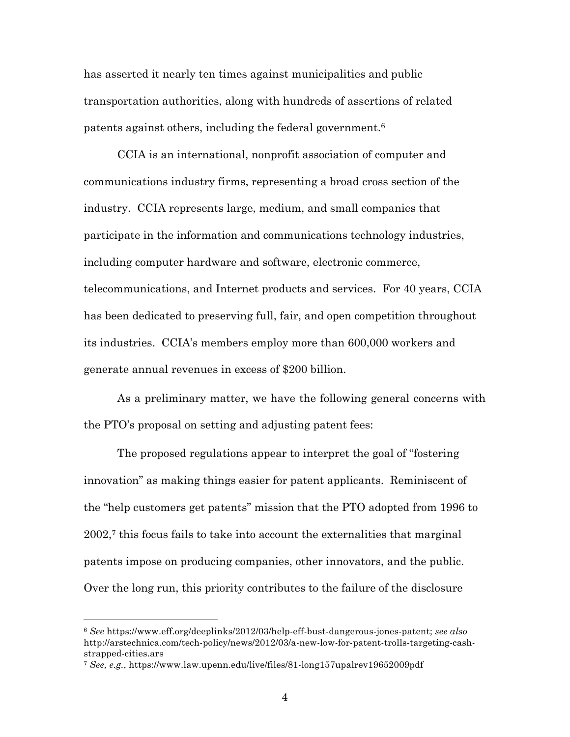has asserted it nearly ten times against municipalities and public transportation authorities, along with hundreds of assertions of related patents against others, including the federal government.6

CCIA is an international, nonprofit association of computer and communications industry firms, representing a broad cross section of the industry. CCIA represents large, medium, and small companies that participate in the information and communications technology industries, including computer hardware and software, electronic commerce, telecommunications, and Internet products and services. For 40 years, CCIA has been dedicated to preserving full, fair, and open competition throughout its industries. CCIA's members employ more than 600,000 workers and generate annual revenues in excess of \$200 billion.

As a preliminary matter, we have the following general concerns with the PTO's proposal on setting and adjusting patent fees:

The proposed regulations appear to interpret the goal of "fostering innovation" as making things easier for patent applicants. Reminiscent of the "help customers get patents" mission that the PTO adopted from 1996 to  $2002<sup>7</sup>$  this focus fails to take into account the externalities that marginal patents impose on producing companies, other innovators, and the public. Over the long run, this priority contributes to the failure of the disclosure

<sup>6</sup> *See* https://www.eff.org/deeplinks/2012/03/help-eff-bust-dangerous-jones-patent; *see also*  http://arstechnica.com/tech-policy/news/2012/03/a-new-low-for-patent-trolls-targeting-cashstrapped-cities.ars

<sup>7</sup> *See, e.g.*, https://www.law.upenn.edu/live/files/81-long157upalrev19652009pdf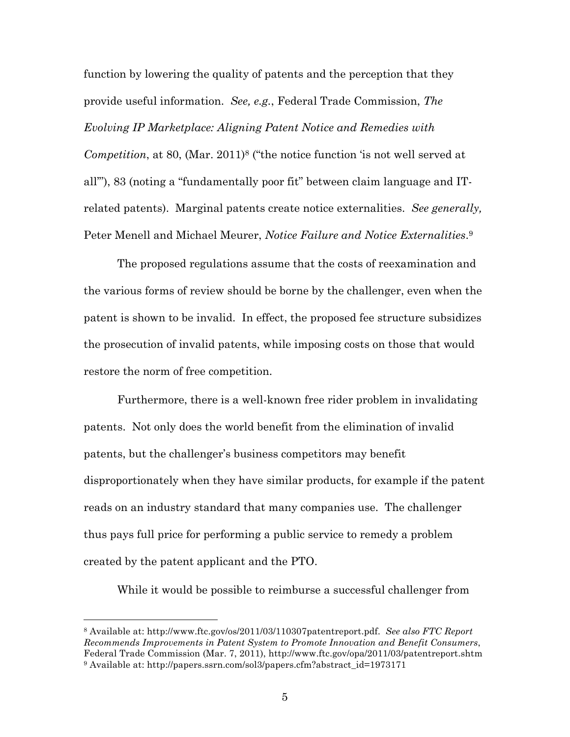function by lowering the quality of patents and the perception that they provide useful information. *See, e.g.*, Federal Trade Commission, *The Evolving IP Marketplace: Aligning Patent Notice and Remedies with* 

*Competition*, at 80, (Mar. 2011)<sup>8</sup> ("the notice function 'is not well served at all'"), 83 (noting a "fundamentally poor fit" between claim language and ITrelated patents). Marginal patents create notice externalities. *See generally,* Peter Menell and Michael Meurer, *Notice Failure and Notice Externalities*.9

The proposed regulations assume that the costs of reexamination and the various forms of review should be borne by the challenger, even when the patent is shown to be invalid. In effect, the proposed fee structure subsidizes the prosecution of invalid patents, while imposing costs on those that would restore the norm of free competition.

Furthermore, there is a well-known free rider problem in invalidating patents. Not only does the world benefit from the elimination of invalid patents, but the challenger's business competitors may benefit disproportionately when they have similar products, for example if the patent reads on an industry standard that many companies use. The challenger thus pays full price for performing a public service to remedy a problem created by the patent applicant and the PTO.

While it would be possible to reimburse a successful challenger from

<sup>8</sup> Available at: http://www.ftc.gov/os/2011/03/110307patentreport.pdf. *See also FTC Report Recommends Improvements in Patent System to Promote Innovation and Benefit Consumers*, Federal Trade Commission (Mar. 7, 2011), http://www.ftc.gov/opa/2011/03/patentreport.shtm <sup>9</sup> Available at: http://papers.ssrn.com/sol3/papers.cfm?abstract\_id=1973171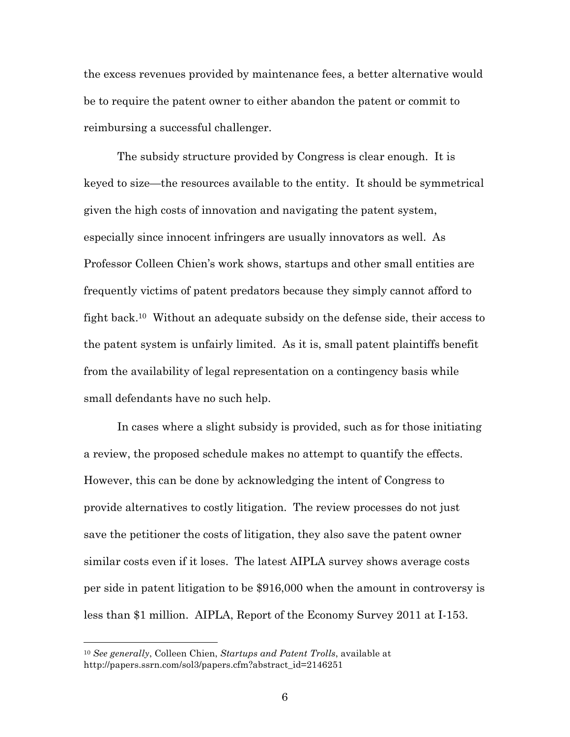the excess revenues provided by maintenance fees, a better alternative would be to require the patent owner to either abandon the patent or commit to reimbursing a successful challenger.

The subsidy structure provided by Congress is clear enough. It is keyed to size—the resources available to the entity. It should be symmetrical given the high costs of innovation and navigating the patent system, especially since innocent infringers are usually innovators as well. As Professor Colleen Chien's work shows, startups and other small entities are frequently victims of patent predators because they simply cannot afford to fight back.10 Without an adequate subsidy on the defense side, their access to the patent system is unfairly limited. As it is, small patent plaintiffs benefit from the availability of legal representation on a contingency basis while small defendants have no such help.

In cases where a slight subsidy is provided, such as for those initiating a review, the proposed schedule makes no attempt to quantify the effects. However, this can be done by acknowledging the intent of Congress to provide alternatives to costly litigation. The review processes do not just save the petitioner the costs of litigation, they also save the patent owner similar costs even if it loses. The latest AIPLA survey shows average costs per side in patent litigation to be \$916,000 when the amount in controversy is less than \$1 million. AIPLA, Report of the Economy Survey 2011 at I-153.

<sup>10</sup> *See generally*, Colleen Chien, *Startups and Patent Trolls*, available at http://papers.ssrn.com/sol3/papers.cfm?abstract\_id=2146251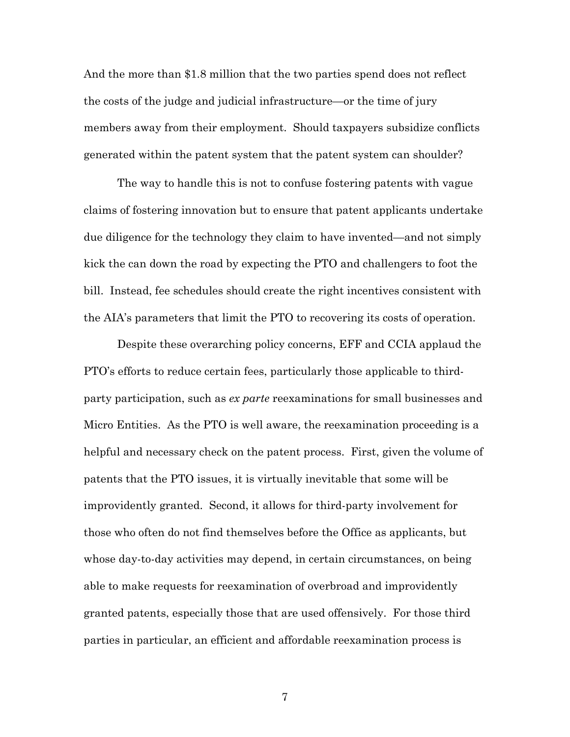And the more than \$1.8 million that the two parties spend does not reflect the costs of the judge and judicial infrastructure—or the time of jury members away from their employment. Should taxpayers subsidize conflicts generated within the patent system that the patent system can shoulder?

The way to handle this is not to confuse fostering patents with vague claims of fostering innovation but to ensure that patent applicants undertake due diligence for the technology they claim to have invented—and not simply kick the can down the road by expecting the PTO and challengers to foot the bill. Instead, fee schedules should create the right incentives consistent with the AIA's parameters that limit the PTO to recovering its costs of operation.

Despite these overarching policy concerns, EFF and CCIA applaud the PTO's efforts to reduce certain fees, particularly those applicable to thirdparty participation, such as *ex parte* reexaminations for small businesses and Micro Entities. As the PTO is well aware, the reexamination proceeding is a helpful and necessary check on the patent process. First, given the volume of patents that the PTO issues, it is virtually inevitable that some will be improvidently granted. Second, it allows for third-party involvement for those who often do not find themselves before the Office as applicants, but whose day-to-day activities may depend, in certain circumstances, on being able to make requests for reexamination of overbroad and improvidently granted patents, especially those that are used offensively. For those third parties in particular, an efficient and affordable reexamination process is

7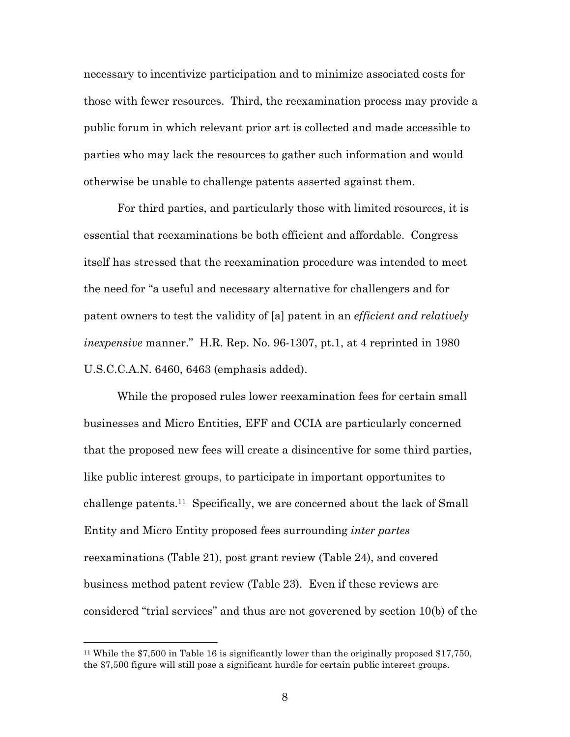necessary to incentivize participation and to minimize associated costs for those with fewer resources. Third, the reexamination process may provide a public forum in which relevant prior art is collected and made accessible to parties who may lack the resources to gather such information and would otherwise be unable to challenge patents asserted against them.

For third parties, and particularly those with limited resources, it is essential that reexaminations be both efficient and affordable. Congress itself has stressed that the reexamination procedure was intended to meet the need for "a useful and necessary alternative for challengers and for patent owners to test the validity of [a] patent in an *efficient and relatively inexpensive* manner." H.R. Rep. No. 96-1307, pt.1, at 4 reprinted in 1980 U.S.C.C.A.N. 6460, 6463 (emphasis added).

While the proposed rules lower reexamination fees for certain small businesses and Micro Entities, EFF and CCIA are particularly concerned that the proposed new fees will create a disincentive for some third parties, like public interest groups, to participate in important opportunites to challenge patents.11 Specifically, we are concerned about the lack of Small Entity and Micro Entity proposed fees surrounding *inter partes*  reexaminations (Table 21), post grant review (Table 24), and covered business method patent review (Table 23). Even if these reviews are considered "trial services" and thus are not goverened by section 10(b) of the

<sup>11</sup> While the \$7,500 in Table 16 is significantly lower than the originally proposed \$17,750, the \$7,500 figure will still pose a significant hurdle for certain public interest groups.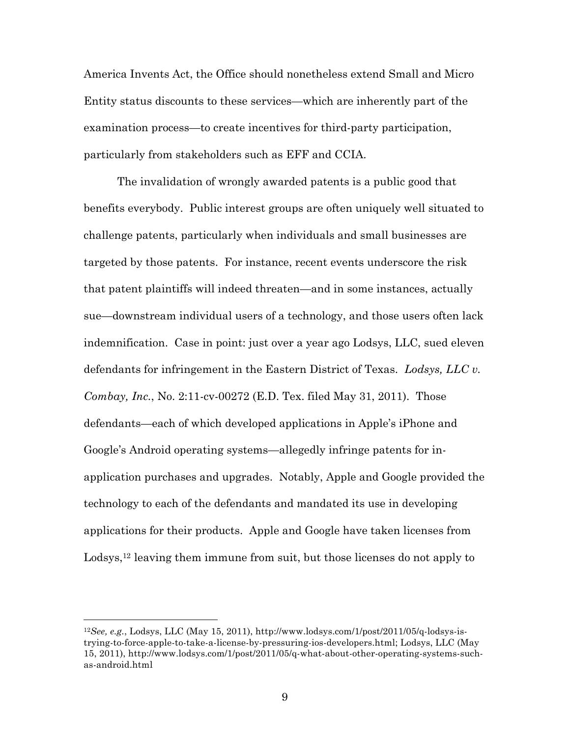America Invents Act, the Office should nonetheless extend Small and Micro Entity status discounts to these services—which are inherently part of the examination process—to create incentives for third-party participation, particularly from stakeholders such as EFF and CCIA.

The invalidation of wrongly awarded patents is a public good that benefits everybody. Public interest groups are often uniquely well situated to challenge patents, particularly when individuals and small businesses are targeted by those patents. For instance, recent events underscore the risk that patent plaintiffs will indeed threaten—and in some instances, actually sue—downstream individual users of a technology, and those users often lack indemnification. Case in point: just over a year ago Lodsys, LLC, sued eleven defendants for infringement in the Eastern District of Texas. *Lodsys, LLC v. Combay, Inc.*, No. 2:11-cv-00272 (E.D. Tex. filed May 31, 2011). Those defendants—each of which developed applications in Apple's iPhone and Google's Android operating systems—allegedly infringe patents for inapplication purchases and upgrades. Notably, Apple and Google provided the technology to each of the defendants and mandated its use in developing applications for their products. Apple and Google have taken licenses from Lodsys,<sup>12</sup> leaving them immune from suit, but those licenses do not apply to

<sup>12</sup>*See, e.g.*, Lodsys, LLC (May 15, 2011), http://www.lodsys.com/1/post/2011/05/q-lodsys-istrying-to-force-apple-to-take-a-license-by-pressuring-ios-developers.html; Lodsys, LLC (May 15, 2011), http://www.lodsys.com/1/post/2011/05/q-what-about-other-operating-systems-suchas-android.html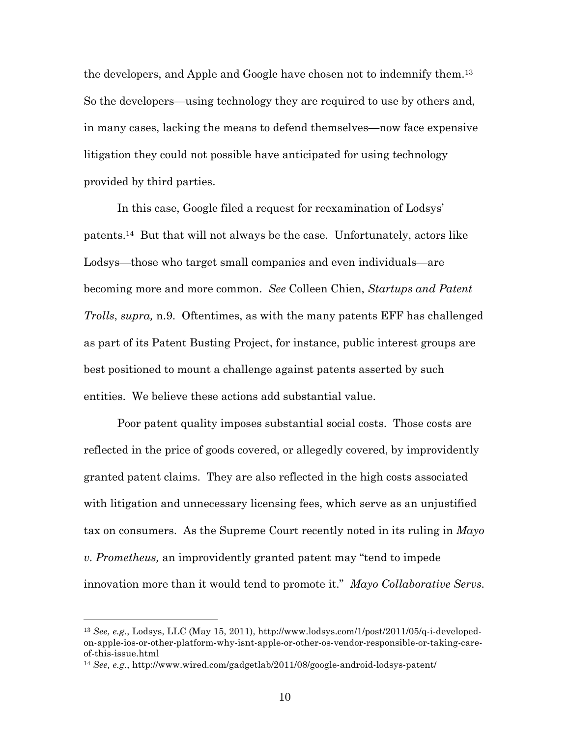the developers, and Apple and Google have chosen not to indemnify them.13 So the developers—using technology they are required to use by others and, in many cases, lacking the means to defend themselves—now face expensive litigation they could not possible have anticipated for using technology provided by third parties.

In this case, Google filed a request for reexamination of Lodsys' patents.14 But that will not always be the case. Unfortunately, actors like Lodsys—those who target small companies and even individuals—are becoming more and more common. *See* Colleen Chien, *Startups and Patent Trolls*, *supra,* n.9. Oftentimes, as with the many patents EFF has challenged as part of its Patent Busting Project, for instance, public interest groups are best positioned to mount a challenge against patents asserted by such entities. We believe these actions add substantial value.

Poor patent quality imposes substantial social costs. Those costs are reflected in the price of goods covered, or allegedly covered, by improvidently granted patent claims. They are also reflected in the high costs associated with litigation and unnecessary licensing fees, which serve as an unjustified tax on consumers. As the Supreme Court recently noted in its ruling in *Mayo v. Prometheus,* an improvidently granted patent may "tend to impede innovation more than it would tend to promote it." *Mayo Collaborative Servs.* 

<sup>13</sup> *See, e.g.*, Lodsys, LLC (May 15, 2011), http://www.lodsys.com/1/post/2011/05/q-i-developedon-apple-ios-or-other-platform-why-isnt-apple-or-other-os-vendor-responsible-or-taking-careof-this-issue.html

<sup>14</sup> *See, e.g.*, http://www.wired.com/gadgetlab/2011/08/google-android-lodsys-patent/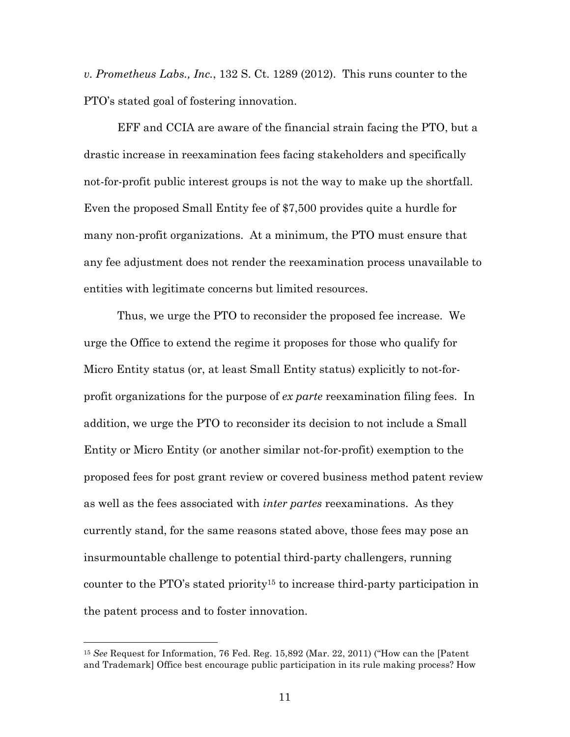*v. Prometheus Labs., Inc.*, 132 S. Ct. 1289 (2012). This runs counter to the PTO's stated goal of fostering innovation.

EFF and CCIA are aware of the financial strain facing the PTO, but a drastic increase in reexamination fees facing stakeholders and specifically not-for-profit public interest groups is not the way to make up the shortfall. Even the proposed Small Entity fee of \$7,500 provides quite a hurdle for many non-profit organizations. At a minimum, the PTO must ensure that any fee adjustment does not render the reexamination process unavailable to entities with legitimate concerns but limited resources.

Thus, we urge the PTO to reconsider the proposed fee increase. We urge the Office to extend the regime it proposes for those who qualify for Micro Entity status (or, at least Small Entity status) explicitly to not-forprofit organizations for the purpose of *ex parte* reexamination filing fees. In addition, we urge the PTO to reconsider its decision to not include a Small Entity or Micro Entity (or another similar not-for-profit) exemption to the proposed fees for post grant review or covered business method patent review as well as the fees associated with *inter partes* reexaminations. As they currently stand, for the same reasons stated above, those fees may pose an insurmountable challenge to potential third-party challengers, running counter to the PTO's stated priority15 to increase third-party participation in the patent process and to foster innovation.

<sup>15</sup> *See* Request for Information, 76 Fed. Reg. 15,892 (Mar. 22, 2011) ("How can the [Patent and Trademark] Office best encourage public participation in its rule making process? How